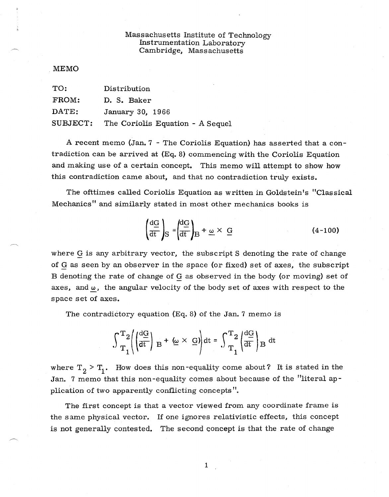## Massachusetts Institute of Technology Instrumentation Laboratory Cambridge, Massachusetts

## MEMO

| TO:      | Distribution                     |
|----------|----------------------------------|
| FROM:    | D. S. Baker                      |
| DATE:    | January 30, 1966                 |
| SUBJECT: | The Coriolis Equation - A Sequel |

A recent memo (Jan. 7 - The Coriolis Equation) has asserted that a contradiction can be arrived at (Eq. 8) commencing with the Coriolis Equation and making use of a certain concept. This memo will attempt to show how this contradiction came about, and that no contradiction truly exists.

The ofttimes called Coriolis Equation as written in Goldstein's "Classical Mechanics" and similarly stated in most other mechanics books is

$$
\left(\frac{dG}{dt}\right)_{S} = \left(\frac{dG}{dt}\right)_{B} + \underline{\omega} \times \underline{G}
$$
 (4-100)

where G is any arbitrary vector, the subscript S denoting the rate of change of G as seen by an observer in the space (or fixed) set of axes, the subscript B denoting the rate of change of G as observed in the body (or moving) set of axes, and  $\omega$ , the angular velocity of the body set of axes with respect to the space set of axes.

The contradictory equation (Eq. 8) of the Jan. 7 memo is

$$
\int_{T_1}^{T_2} \left( \left| \frac{dG}{dt} \right| \mathbf{B} + \left( \underline{\omega} \times \mathbf{G} \right) \right) dt = \int_{T_1}^{T_2} \left( \frac{dG}{dt} \right) \mathbf{B} dt
$$

where  $T_2$  >  $T_1$ . How does this non-equality come about? It is stated in the Jan. 7 memo that this non-equality comes about because of the "literal application of two apparently conflicting concepts".

The first concept is that a vector viewed from any coordinate frame is the same physical vector. If one ignores relativistic effects, this concept is not generally contested. The second concept is that the rate of change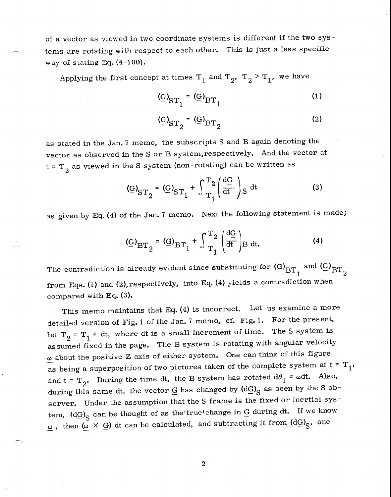of a vector as viewed in two coordinate systems is different if the two systems are rotating with respect to each other. This is just a less specific way of stating Eq. (4-100).

Applying the first concept at times  $T_1$  and  $T_2$ ,  $T_2 > T_1$ , we have

$$
(\underline{G})_{ST_1} = (\underline{G})_{BT_1}
$$
 (1)

$$
(\underline{G})_{ST_2} = (\underline{G})_{BT_2}
$$
 (2)

as stated in the Jan. 7 memo, the subscripts S and B again denoting the vector as observed in the S or B system,respectively. And the vector at  $t = T<sub>2</sub>$  as viewed in the S system (non-rotating) can be written as

$$
(\mathbf{G})_{\mathrm{ST}_2} = (\mathbf{G})_{\mathrm{ST}_1} + \int_{\mathrm{T}_1}^{\mathrm{T}_2} \left(\frac{\mathrm{d}\mathbf{G}}{\mathrm{d}t}\right) \mathrm{S} \mathrm{d}t \tag{3}
$$

as given by Eq. (4) of the Jan. 7 memo. Next the following statement is made;

$$
(\underline{G})_{BT_2} = (\underline{G})_{BT_1} + \int_{T_1}^{T_2} \left(\frac{dG}{dt}\right) B dt.
$$
 (4)

The contradiction is already evident since substituting for  $\left(\frac{G}{BT}\right)_{BT}$  and  $\left(\frac{G}{BT}\right)_{BT}$ from Eqs. (1) and (2), respectively, into Eq. (4) yields a contradiction when compared with Eq. (3).

This memo maintains that Eq. (4) is incorrect. Let us examine a more detailed version of Fig. 1 of the Jan. 7 memo, cf. Fig. 1. For the present, let  $T_2 = T_1 + dt$ , where dt is a small increment of time. The S system is assumed fixed in the page. The B system is rotating with angular velocity  $\omega$  about the positive Z axis of either system. One can think of this figure as being a superposition of two pictures taken of the complete system at  $t = T_1$ , and t =  $T_2$ . During the time dt, the B system has rotated  $d\theta_1 = \omega dt$ . Also, during this same dt, the vector  $\underline{G}$  has changed by  $\left(\text{d}\underline{G}\right)_{\mathbb{S}}$  as seen by the S observer. Under the assumption that the S frame is the fixed or inertial system,  $(dG)_{S}$  can be thought of as the true change in G during dt. If we know  $\frac{\omega}{\omega}$ , then  $(\omega \times \overline{G})$  dt can be calculated, and subtracting it from  $(dG)_{S}$ , one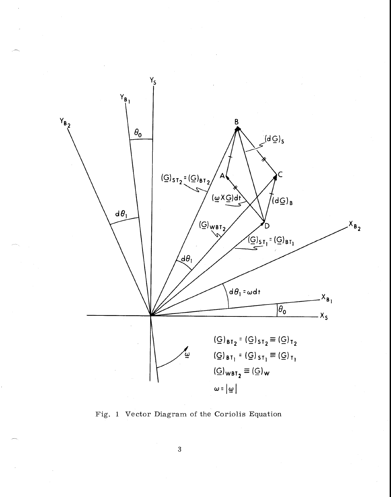

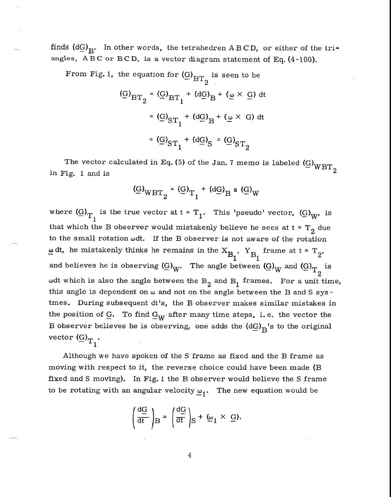finds  $(d\underline{G})_{R^*}$ . In other words, the tetrahedren A B C D, or either of the triangles,  $A B C$  or  $B C D$ , is a vector diagram statement of Eq. (4-100).

From Fig. 1, the equation for 
$$
(\underline{G})_{BT_2}
$$
 is seen to be  
\n
$$
(\underline{G})_{BT_2} = (\underline{G})_{BT_1} + (d\underline{G})_B + (\underline{\omega} \times \underline{G}) dt
$$
\n
$$
= (\underline{G})_{ST_1} + (d\underline{G})_B + (\underline{\omega} \times \underline{G}) dt
$$
\n
$$
= (\underline{G})_{ST_1} + (d\underline{G})_S = (\underline{G})_{ST_2}
$$

The vector calculated in Eq. (5) of the Jan. 7 memo is labeled  $(G)_{\text{WBT}_2}$ in Fig. 1 and is

$$
(\underline{\mathrm{G}})_{\mathrm{WBT}_2} = (\underline{\mathrm{G}})_{\mathrm{T}_1} + (\mathrm{d}\underline{\mathrm{G}})_{\mathrm{B}} \equiv (\underline{\mathrm{G}})_{\mathrm{W}}
$$

where  $\left(\underline{G}\right)_{T_1}$  is the true vector at  $t = T_1$ . This 'pseudo' vector,  $\left(\underline{G}\right)_W$ , is that which the B observer would mistakenly believe he sees at  $t = T<sub>o</sub>$  due to the small rotation  $\omega$ dt. If the B observer is not aware of the rotation dt, he mistakenly thinks he remains in the  $X_{B_1}$ ,  $Y_{B_1}$  frame at t =  $T_2$ , and believes he is observing  $\left( \underline{G} \right)_W$ . The angle between  $\left( \underline{G} \right)_W$  and  $\left( \underline{G} \right)_T$  is 2 wdt which is also the angle between the  $B_2$  and  $B_1$  frames. For a unit time, this angle is dependent on  $\omega$  and not on the angle between the B and S systmes. During subsequent dt's, the B observer makes similar mistakes in the position of  $G$ . To find  $G_W$  after many time steps, i.e. the vector the B observer believes he is observing, one adds the  $(dG)_R$ 's to the original vector  $\left(\underline{G}\right)_{T_1}$ .

Although we have spoken of the S frame as fixed and the B frame as moving with respect to it, the reverse choice could have been made (B fixed and S moving). In Fig. 1 the B observer would believe the S frame to be rotating with an angular velocity  $\omega_1$ . The new equation would be

$$
\left(\frac{\mathrm{d}\mathrm{G}}{\mathrm{d}t}\right)_{\mathrm{B}} = \left(\frac{\mathrm{d}\mathrm{G}}{\mathrm{d}t}\right)_{\mathrm{S}} + \omega_1 \times \mathrm{G}.
$$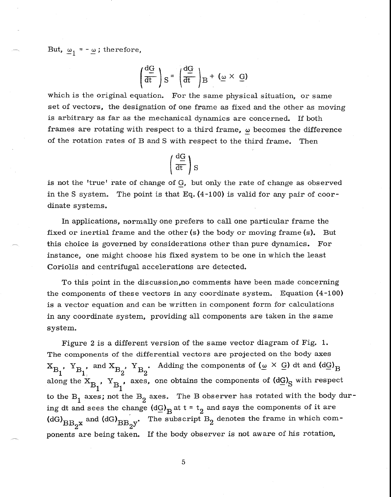But,  $\omega_1 = -\omega$ ; therefore,

$$
\left(\frac{\mathrm{d}G}{\mathrm{d}t}\right)S = \left(\frac{\mathrm{d}G}{\mathrm{d}t}\right)B + (\underline{\omega} \times \underline{G})
$$

which is the original equation. For the same physical situation, or same set of vectors, the designation of one frame as fixed and the other as moving is arbitrary as far as the mechanical dynamics are concerned. If both frames are rotating with respect to a third frame,  $\omega$  becomes the difference of the rotation rates of B and S with respect to the third frame. Then

$$
\left(\frac{\mathrm{d} G}{\mathrm{d} t}\right) S
$$

is not the 'true' rate of change of  $G$ , but only the rate of change as observed in the S system. The point is that Eq. (4-100) is valid for any pair of coordinate systems.

In applications, normally one prefers to call one particular frame the fixed or inertial frame and the other  $(s)$  the body or moving frame  $(s)$ . But this choice is governed by considerations other than pure dynamics. For instance, one might choose his fixed system to be one in which the least Coriolis and centrifugal accelerations are detected.

To this point in the discussion,no comments have been made concerning the components of these vectors in any coordinate system. Equation  $(4-100)$ is a vector equation and can be written in component form for calculations in any coordinate system, providing all components are taken in the same system.

Figure 2 is a different version of the same vector diagram of Fig. 1. The components of the differential vectors are projected on the body axes  $X_{B_1}$ ,  $Y_{B_1}$ , and  $X_{B_2}$ ,  $Y_{B_2}$ . Adding the components of ( $\omega \times G$ ) dt and (dG)<sub>B</sub> along the  $X_{B}$ ,  $Y_{B}$ , axes, one obtains the components of  $(dG)_{S}$  with respect 1 1 to the  $B_1$  axes; not the  $B_2$  axes. The B observer has rotated with the body during dt and sees the change  $(dG)_B$ at t = t<sub>2</sub> and says the components of it are  $(dG)_{BB_2^{\times}}$  and  $(dG)_{BB_2^{\times}}$ . The subscript  $B_2$  denotes the frame in which components are being taken. If the body observer is not aware of his rotation,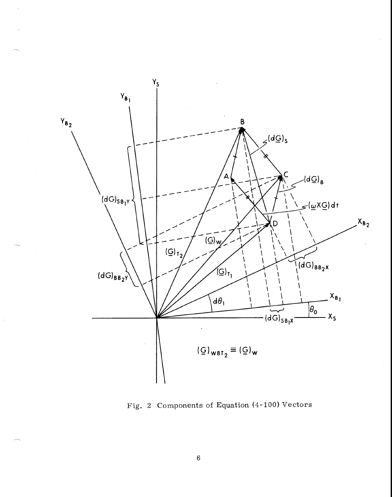

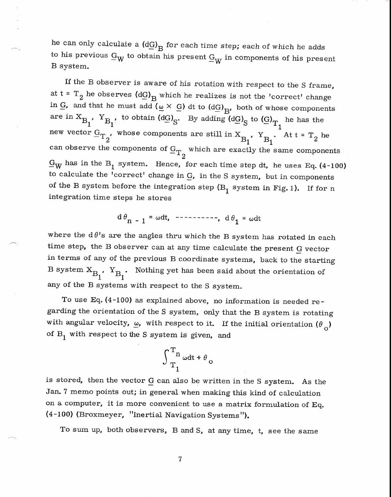he can only calculate a  $(dG)_{\overline{B}}$  for each time step; each of which he adds to his previous  $\underline{G}_W$  to obtain his present  $\underline{G}_W$  in components of his present B system.

If the B observer is aware of his rotation with respect to the S frame, at  $t = T_2$  he observes  $(dG)_R$  which he realizes is not the 'correct' change in G, and that he must add ( $\omega \times G$ ) dt to (dG)<sub>B</sub>, both of whose components are in  $X_{B_1}$ ,  $Y_{B_1}$ , to obtain  $(dG)_{S}$ . By adding  $(dG)_{S}$  to  $(G)_{T_1}$  he has the new vector  $G_{T_2}$ , whose components are still in  $X_{B_1}$ ,  $Y_{B_1}$ . At  $t = T_2$  he can observe the components of  $G_{T_{\alpha}}$  which are exactly the same components 2  $G_W$  has in the B<sub>1</sub> system. Hence, for each time step dt, he uses Eq. (4-100) to calculate the 'correct' change in G, in the S system, but in components of the B system before the integration step  $(B_1$  system in Fig. 1). If for n integration time steps he stores

 $d\theta_{n-1} = \omega dt$ , ---------,  $d\theta_1 = \omega dt$ 

where the  $d\theta$ 's are the angles thru which the B system has rotated in each time step, the B observer can at any time calculate the present G vector in terms of any of the previous B coordinate systems, back to the starting B system  $X_{B_1}$ ,  $Y_{B_1}$ . Nothing yet has been said about the orientation of any of the  $\overline{B}$  systems with respect to the S system.

To use Eq. (4-100) as explained above, no information is needed regarding the orientation of the S system, only that the B system is rotating with angular velocity,  $\omega$ , with respect to it. If the initial orientation  $(\theta_0)$ of  $B_1$  with respect to the S system is given, and

$$
\int_{T_1}^{T_n} \omega dt + \theta_o
$$

is stored, then the vector G can also be written in the S system. As the Jan. 7 memo points out; in general when making this kind of calculation on a computer, it is more convenient to use a matrix formulation of Eq. (4-100) (Broxmeyer, "Inertial Navigation Systems").

To sum up, both observers, B and S, at any time, t, see the same